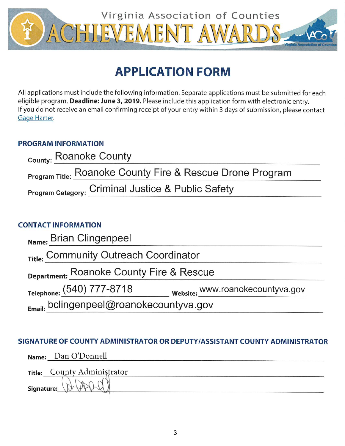

# **APPLICATION FORM**

All applications must include the following information. Separate applications must be submitted for each eligible program. Deadline: June 3, 2019. Please include this application form with electronic entry. If you do not receive an email confirming receipt of your entry within 3 days of submission, please contact Gage Harter.

## **PROGRAM INFORMATION**

| County: Roanoke County                                    |  |
|-----------------------------------------------------------|--|
| Program Title: Roanoke County Fire & Rescue Drone Program |  |
| Program Category: Criminal Justice & Public Safety        |  |

# **CONTACT INFORMATION**

| Name: Brian Clingenpeel                      |                                  |
|----------------------------------------------|----------------------------------|
| Title: Community Outreach Coordinator        |                                  |
| Department: Roanoke County Fire & Rescue     |                                  |
| Telephone: (540) 777-8718                    | website: www.roanokecountyva.gov |
| $_{Email:}$ bclingenpeel@roanokecountyva.gov |                                  |

# SIGNATURE OF COUNTY ADMINISTRATOR OR DEPUTY/ASSISTANT COUNTY ADMINISTRATOR

|            | Name: Dan O'Donnell         |
|------------|-----------------------------|
|            | Title: County Administrator |
| Signature: |                             |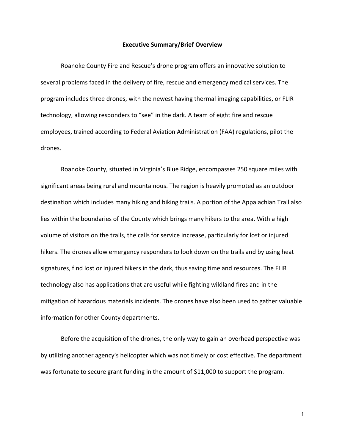#### **Executive Summary/Brief Overview**

Roanoke County Fire and Rescue's drone program offers an innovative solution to several problems faced in the delivery of fire, rescue and emergency medical services. The program includes three drones, with the newest having thermal imaging capabilities, or FLIR technology, allowing responders to "see" in the dark. A team of eight fire and rescue employees, trained according to Federal Aviation Administration (FAA) regulations, pilot the drones.

Roanoke County, situated in Virginia's Blue Ridge, encompasses 250 square miles with significant areas being rural and mountainous. The region is heavily promoted as an outdoor destination which includes many hiking and biking trails. A portion of the Appalachian Trail also lies within the boundaries of the County which brings many hikers to the area. With a high volume of visitors on the trails, the calls for service increase, particularly for lost or injured hikers. The drones allow emergency responders to look down on the trails and by using heat signatures, find lost or injured hikers in the dark, thus saving time and resources. The FLIR technology also has applications that are useful while fighting wildland fires and in the mitigation of hazardous materials incidents. The drones have also been used to gather valuable information for other County departments.

Before the acquisition of the drones, the only way to gain an overhead perspective was by utilizing another agency's helicopter which was not timely or cost effective. The department was fortunate to secure grant funding in the amount of \$11,000 to support the program.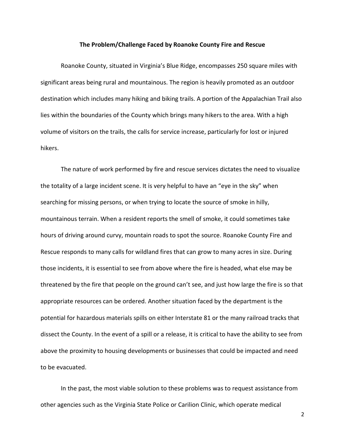#### **The Problem/Challenge Faced by Roanoke County Fire and Rescue**

Roanoke County, situated in Virginia's Blue Ridge, encompasses 250 square miles with significant areas being rural and mountainous. The region is heavily promoted as an outdoor destination which includes many hiking and biking trails. A portion of the Appalachian Trail also lies within the boundaries of the County which brings many hikers to the area. With a high volume of visitors on the trails, the calls for service increase, particularly for lost or injured hikers.

The nature of work performed by fire and rescue services dictates the need to visualize the totality of a large incident scene. It is very helpful to have an "eye in the sky" when searching for missing persons, or when trying to locate the source of smoke in hilly, mountainous terrain. When a resident reports the smell of smoke, it could sometimes take hours of driving around curvy, mountain roads to spot the source. Roanoke County Fire and Rescue responds to many calls for wildland fires that can grow to many acres in size. During those incidents, it is essential to see from above where the fire is headed, what else may be threatened by the fire that people on the ground can't see, and just how large the fire is so that appropriate resources can be ordered. Another situation faced by the department is the potential for hazardous materials spills on either Interstate 81 or the many railroad tracks that dissect the County. In the event of a spill or a release, it is critical to have the ability to see from above the proximity to housing developments or businesses that could be impacted and need to be evacuated.

In the past, the most viable solution to these problems was to request assistance from other agencies such as the Virginia State Police or Carilion Clinic, which operate medical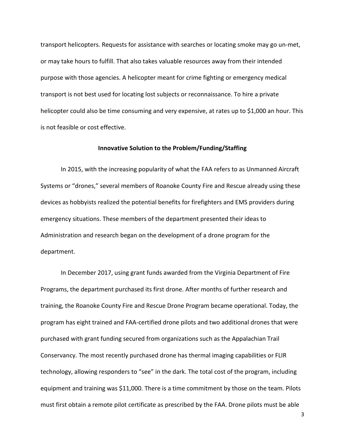transport helicopters. Requests for assistance with searches or locating smoke may go un-met, or may take hours to fulfill. That also takes valuable resources away from their intended purpose with those agencies. A helicopter meant for crime fighting or emergency medical transport is not best used for locating lost subjects or reconnaissance. To hire a private helicopter could also be time consuming and very expensive, at rates up to \$1,000 an hour. This is not feasible or cost effective.

### **Innovative Solution to the Problem/Funding/Staffing**

In 2015, with the increasing popularity of what the FAA refers to as Unmanned Aircraft Systems or "drones," several members of Roanoke County Fire and Rescue already using these devices as hobbyists realized the potential benefits for firefighters and EMS providers during emergency situations. These members of the department presented their ideas to Administration and research began on the development of a drone program for the department.

In December 2017, using grant funds awarded from the Virginia Department of Fire Programs, the department purchased its first drone. After months of further research and training, the Roanoke County Fire and Rescue Drone Program became operational. Today, the program has eight trained and FAA-certified drone pilots and two additional drones that were purchased with grant funding secured from organizations such as the Appalachian Trail Conservancy. The most recently purchased drone has thermal imaging capabilities or FLIR technology, allowing responders to "see" in the dark. The total cost of the program, including equipment and training was \$11,000. There is a time commitment by those on the team. Pilots must first obtain a remote pilot certificate as prescribed by the FAA. Drone pilots must be able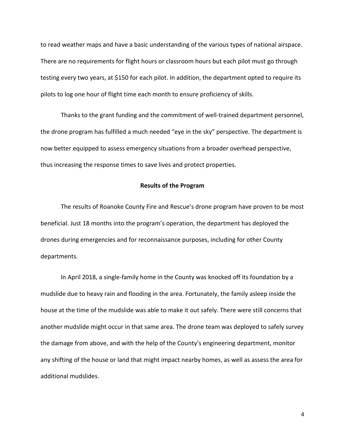to read weather maps and have a basic understanding of the various types of national airspace. There are no requirements for flight hours or classroom hours but each pilot must go through testing every two years, at \$150 for each pilot. In addition, the department opted to require its pilots to log one hour of flight time each month to ensure proficiency of skills.

Thanks to the grant funding and the commitment of well-trained department personnel, the drone program has fulfilled a much needed "eye in the sky" perspective. The department is now better equipped to assess emergency situations from a broader overhead perspective, thus increasing the response times to save lives and protect properties.

## **Results of the Program**

The results of Roanoke County Fire and Rescue's drone program have proven to be most beneficial. Just 18 months into the program's operation, the department has deployed the drones during emergencies and for reconnaissance purposes, including for other County departments.

In April 2018, a single-family home in the County was knocked off its foundation by a mudslide due to heavy rain and flooding in the area. Fortunately, the family asleep inside the house at the time of the mudslide was able to make it out safely. There were still concerns that another mudslide might occur in that same area. The drone team was deployed to safely survey the damage from above, and with the help of the County's engineering department, monitor any shifting of the house or land that might impact nearby homes, as well as assess the area for additional mudslides.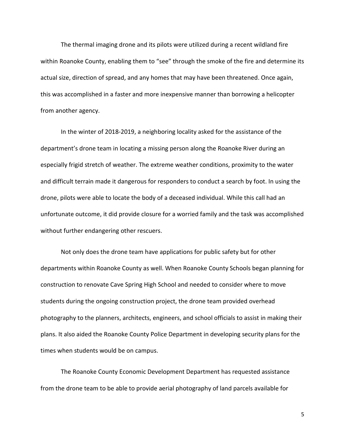The thermal imaging drone and its pilots were utilized during a recent wildland fire within Roanoke County, enabling them to "see" through the smoke of the fire and determine its actual size, direction of spread, and any homes that may have been threatened. Once again, this was accomplished in a faster and more inexpensive manner than borrowing a helicopter from another agency.

In the winter of 2018-2019, a neighboring locality asked for the assistance of the department's drone team in locating a missing person along the Roanoke River during an especially frigid stretch of weather. The extreme weather conditions, proximity to the water and difficult terrain made it dangerous for responders to conduct a search by foot. In using the drone, pilots were able to locate the body of a deceased individual. While this call had an unfortunate outcome, it did provide closure for a worried family and the task was accomplished without further endangering other rescuers.

Not only does the drone team have applications for public safety but for other departments within Roanoke County as well. When Roanoke County Schools began planning for construction to renovate Cave Spring High School and needed to consider where to move students during the ongoing construction project, the drone team provided overhead photography to the planners, architects, engineers, and school officials to assist in making their plans. It also aided the Roanoke County Police Department in developing security plans for the times when students would be on campus.

The Roanoke County Economic Development Department has requested assistance from the drone team to be able to provide aerial photography of land parcels available for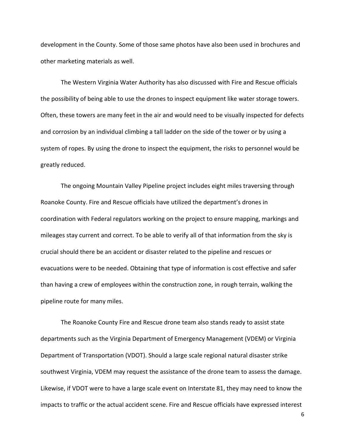development in the County. Some of those same photos have also been used in brochures and other marketing materials as well.

The Western Virginia Water Authority has also discussed with Fire and Rescue officials the possibility of being able to use the drones to inspect equipment like water storage towers. Often, these towers are many feet in the air and would need to be visually inspected for defects and corrosion by an individual climbing a tall ladder on the side of the tower or by using a system of ropes. By using the drone to inspect the equipment, the risks to personnel would be greatly reduced.

The ongoing Mountain Valley Pipeline project includes eight miles traversing through Roanoke County. Fire and Rescue officials have utilized the department's drones in coordination with Federal regulators working on the project to ensure mapping, markings and mileages stay current and correct. To be able to verify all of that information from the sky is crucial should there be an accident or disaster related to the pipeline and rescues or evacuations were to be needed. Obtaining that type of information is cost effective and safer than having a crew of employees within the construction zone, in rough terrain, walking the pipeline route for many miles.

The Roanoke County Fire and Rescue drone team also stands ready to assist state departments such as the Virginia Department of Emergency Management (VDEM) or Virginia Department of Transportation (VDOT). Should a large scale regional natural disaster strike southwest Virginia, VDEM may request the assistance of the drone team to assess the damage. Likewise, if VDOT were to have a large scale event on Interstate 81, they may need to know the impacts to traffic or the actual accident scene. Fire and Rescue officials have expressed interest